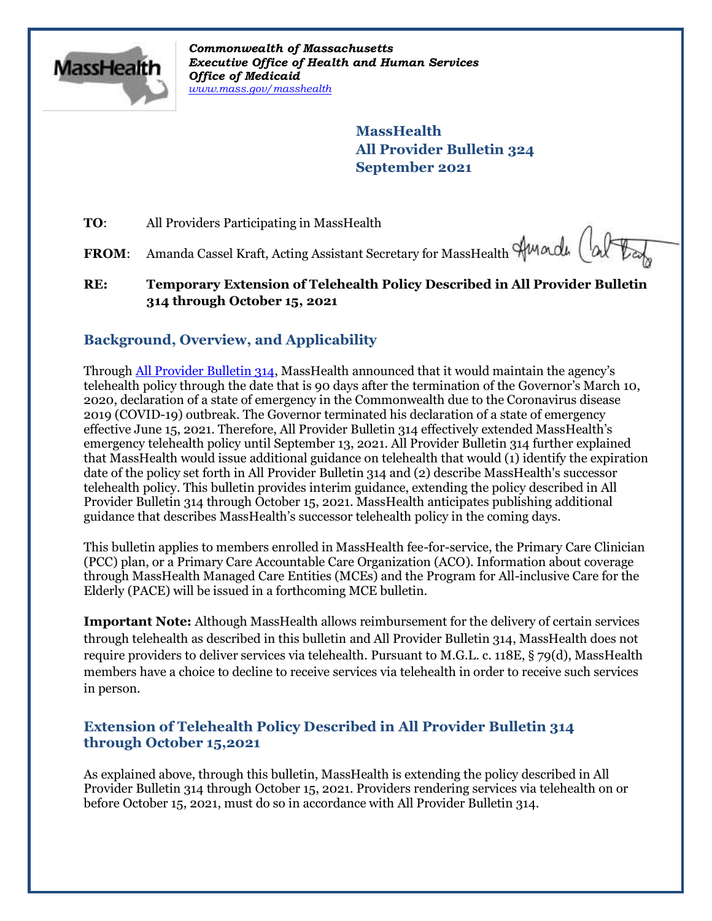

*Commonwealth of Massachusetts Executive Office of Health and Human Services Office of Medicaid [www.mass.gov/masshealth](http://www.mass.gov/masshealth)*

> **MassHealth All Provider Bulletin 324 September 2021**

**TO:** All Providers Participating in MassHealth

FROM: Amanda Cassel Kraft, Acting Assistant Secretary for MassHealth Amade (al

## **RE: Temporary Extension of Telehealth Policy Described in All Provider Bulletin 314 through October 15, 2021**

# **Background, Overview, and Applicability**

Through [All Provider Bulletin 314,](https://www.mass.gov/lists/all-provider-bulletins) MassHealth announced that it would maintain the agency's telehealth policy through the date that is 90 days after the termination of the Governor's March 10, 2020, declaration of a state of emergency in the Commonwealth due to the Coronavirus disease 2019 (COVID-19) outbreak. The Governor terminated his declaration of a state of emergency effective June 15, 2021. Therefore, All Provider Bulletin 314 effectively extended MassHealth's emergency telehealth policy until September 13, 2021. All Provider Bulletin 314 further explained that MassHealth would issue additional guidance on telehealth that would (1) identify the expiration date of the policy set forth in All Provider Bulletin 314 and (2) describe MassHealth's successor telehealth policy. This bulletin provides interim guidance, extending the policy described in All Provider Bulletin 314 through October 15, 2021. MassHealth anticipates publishing additional guidance that describes MassHealth's successor telehealth policy in the coming days.

This bulletin applies to members enrolled in MassHealth fee-for-service, the Primary Care Clinician (PCC) plan, or a Primary Care Accountable Care Organization (ACO). Information about coverage through MassHealth Managed Care Entities (MCEs) and the Program for All-inclusive Care for the Elderly (PACE) will be issued in a forthcoming MCE bulletin.

**Important Note:** Although MassHealth allows reimbursement for the delivery of certain services through telehealth as described in this bulletin and All Provider Bulletin 314, MassHealth does not require providers to deliver services via telehealth. Pursuant to M.G.L. c. 118E, § 79(d), MassHealth members have a choice to decline to receive services via telehealth in order to receive such services in person.

## **Extension of Telehealth Policy Described in All Provider Bulletin 314 through October 15,2021**

As explained above, through this bulletin, MassHealth is extending the policy described in All Provider Bulletin 314 through October 15, 2021. Providers rendering services via telehealth on or before October 15, 2021, must do so in accordance with All Provider Bulletin 314.